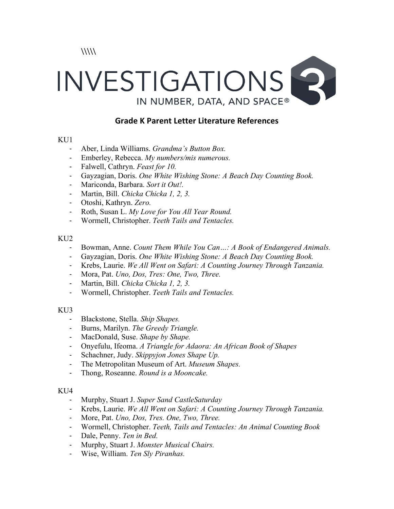$\langle$ 

# INVESTIGATIONS IN NUMBER, DATA, AND SPACE®

# **Grade K Parent Letter Literature References**

### KU<sub>1</sub>

- Aber, Linda Williams. *Grandma's Button Box.*
- Emberley, Rebecca. *My numbers/mis numerous.*
- Falwell, Cathryn. *Feast for 10.*
- Gayzagian, Doris. *One White Wishing Stone: A Beach Day Counting Book.*
- Mariconda, Barbara. *Sort it Out!.*
- Martin, Bill. *Chicka Chicka 1, 2, 3.*
- Otoshi, Kathryn. *Zero.*
- Roth, Susan L. *My Love for You All Year Round.*
- Wormell, Christopher. *Teeth Tails and Tentacles.*

### $KU2$

- Bowman, Anne. *Count Them While You Can…: A Book of Endangered Animals.*
- Gayzagian, Doris. *One White Wishing Stone: A Beach Day Counting Book.*
- Krebs, Laurie. *We All Went on Safari: A Counting Journey Through Tanzania.*
- Mora, Pat. *Uno, Dos, Tres: One, Two, Three.*
- Martin, Bill. *Chicka Chicka 1, 2, 3.*
- Wormell, Christopher. *Teeth Tails and Tentacles.*

# KU3

- Blackstone, Stella. *Ship Shapes.*
- Burns, Marilyn. *The Greedy Triangle.*
- MacDonald, Suse. *Shape by Shape.*
- Onyefulu, Ifeoma. *A Triangle for Adaora: An African Book of Shapes*
- Schachner, Judy. *Skippyjon Jones Shape Up.*
- The Metropolitan Museum of Art. *Museum Shapes.*
- Thong, Roseanne. *Round is a Mooncake.*

# $KU4$

- Murphy, Stuart J. *Super Sand CastleSaturday*
- Krebs, Laurie. *We All Went on Safari: A Counting Journey Through Tanzania.*
- More, Pat. *Uno, Dos, Tres. One, Two, Three.*
- Wormell, Christopher. *Teeth, Tails and Tentacles: An Animal Counting Book*
- Dale, Penny. *Ten in Bed.*
- Murphy, Stuart J. *Monster Musical Chairs.*
- Wise, William. *Ten Sly Piranhas.*